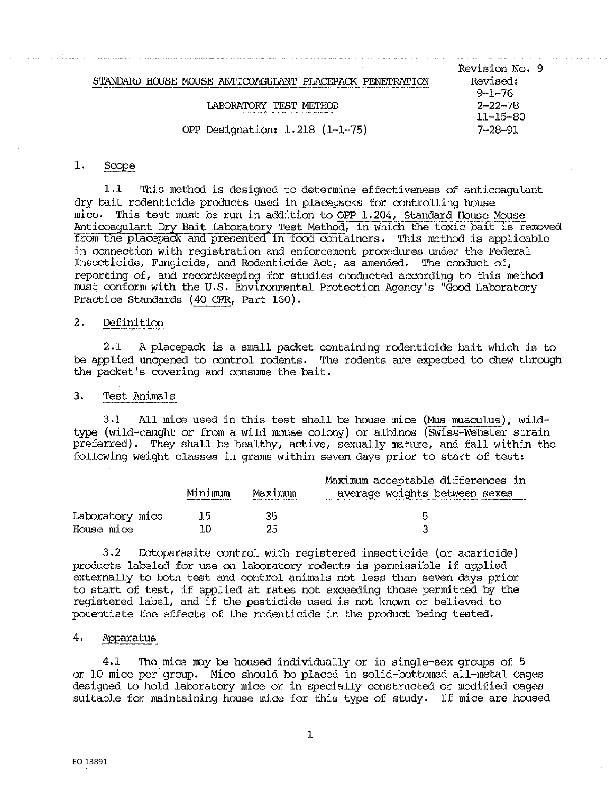LABORATORY TEST METHOD

OPP Designation: 1. 218 (l·-1··75) 7-28-91

#### $1.$ Scope

1.1 This method is designed to determine effectiveness of anticoagulant dry bait rodenticide products used in placepacks for controlling house mice. This test must be run in addition to OPP 1.204, Standard House Mouse Anticoagulant Dry Bait Laboratory Test Method, in which the toxic bait is removed from the placepack and presented in food containers. This method is applicable in connection with registration and enforcement procedures under the Federal Insecticide, Fungicide, and Rodenticide Act, as amended. The conduct of, reporting of, and recordkeeping for studies conducted according to this method must conform with the u.s. Environmental Protection Agency's "Good Laboratory Practice Standards ( 40 CFR, Part 160).

## 2. Definition

2.1 A placepack is a small packet containing rodenticide bait which is to be applied unopened to control rodents. The rodents are expected to chew through the packet's covering and consume the bait.

## 3, Test Animals

 $3.1$  All mice used in this test shall be house mice (Mus musculus), wildtype (wild-caught or from a wild mouse colony) or albinos (Swiss--Webster strain preferred). They shall be healthy, active, sexually mature, and fall within the following weight classes in grams within seven days prior to start of test:

|                 |         |         | Maximum acceptable differences in |  |
|-----------------|---------|---------|-----------------------------------|--|
|                 | Minimum | Maximum | average weights between sexes     |  |
| Laboratory mice | 15      | 35      | 局                                 |  |
| House mice      |         | 25      |                                   |  |

3,2 Ectoparasite control with registered insecticide (or acaricide) products labeled for use on laboratory rodents is permissible if applied externally to both test and control animals not less than seven days prior to start of test, if applied at rates not exceeding those permitted by the registered label, and if the pesticide used is not known or believed to potentiate the effects of the rodenticide in the product being tested,

### 4. Apparatus

4.1 The mice may be housed individually or in single-sex groups of 5 or l.O mice per group, Mice should be placed in solid-bottomed all-metal cages designed to hold laboratory mice or in specially constructed or modified cages suitable for maintaining house mice for this type of study. If mice are housed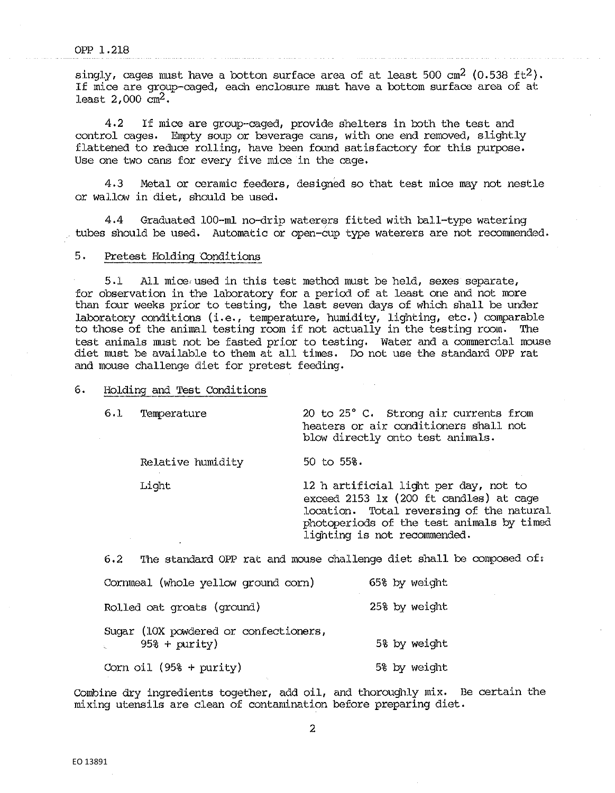singly, cages must have a botton surface area of at least 500 cm<sup>2</sup> (0.538 ft<sup>2</sup>). If mice are group-caged, each enclosure must have a bottom surface area of at least  $2,000$  cm<sup>2</sup>.

4,2 If mice are group•-caged, provide shelters in both the test and control cages. Empty soup or beverage cans, with one end removed, slightly flattened to reduce rolling, have been found satisfactory for this purpose, Use one two cans for every five mice in the cage,

4,3 Metal or ceramic feeders, designed so that test mice may not nestle or wallow in diet, should be used,

4,4 Graduated 100-ml no-drip waterers fitted with ball-type watering tubes should be used, Automatic or open-cup type waterers are not recommended.

### 5, Pretest Holding Conditions

5.1 All mice,used in this test method must be held, sexes separate, for observation in the laboratory for a period of at least one and not more than four weeks prior to testing, the last seven days of which shall be under laboratory conditions (i.e., temperature, humidity, lighting, etc.) comparable to those of the animal testing room if not actually in the testing room. The test animals must not be fasted prior to testing. Water and a commercial mouse diet must be available to them at all times, Do not use the standard OPP rat and mouse challenge diet for pretest feeding.

## 6. Holding and Test Conditions

Relative humidity 50 to 55%.

6,1 Temperature 20 to 25° c. Strong air currents from heaters or air conditioners shall not blow directly onto test animals.

Light 12 h artificial light per day, not to exceed 2153 lx (200 ft candles) at cage location. Total reversing of the natural photoperiods of the test animals by timed lighting is not recommended,

 $6.2$  The standard OPP rat and mouse challenge diet shall be composed of:

| Cornmeal (whole yellow ground corn)                                     | 65% by weight |
|-------------------------------------------------------------------------|---------------|
| Rolled oat groats (ground)                                              | 25% by weight |
| Sugar (10X powdered or confectioners,<br>$95% + purity)$<br>gina.<br>An | 5% by weight  |
| Corn oil $(958 + purity)$                                               | 5% by weight  |

Combine dry ingredients together, add oil, and thoroughly mix. Be certain the mixing utensils are clean of contamination before preparing diet.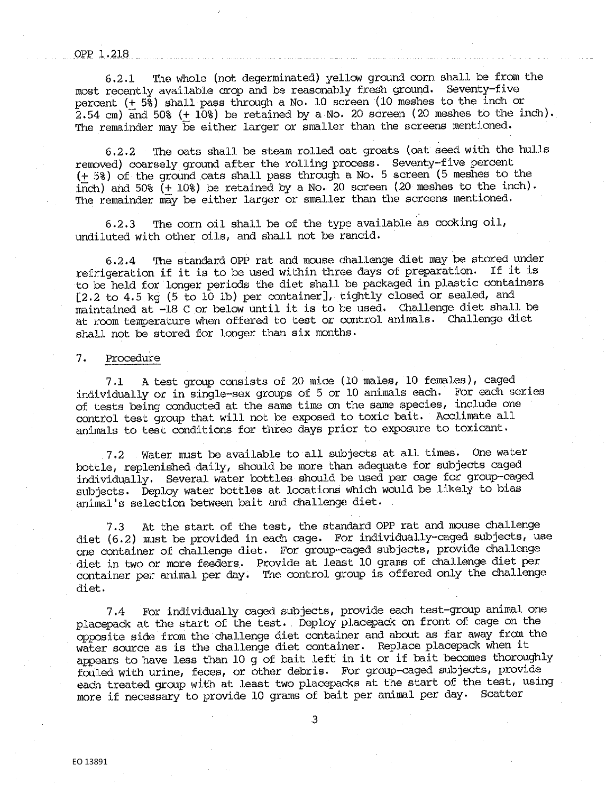## opp 1.21s

6,2.1 The whole (not degerminated) yellow ground corn shall be from the most recently available crop and be reasonably fresh ground. Seventy-five percent (± 5%) shall pass through a No, 10 screen (10 meshes to the inch or 2.54 cm) and 50% (+ 10%) be retained by a No. 20 screen (20 meshes to the inch). The remainder may be either larger or smaller than the screens mentioned.

6,2.2 The oats shall be steam rolled oat groats (oat seed with the hulls removed) coarsely ground after the rolling process. Seventy-five percent  $(\pm 58)$  of the ground oats shall pass through a No. 5 screen (5 meshes to the inch) and 50%  $(+ 10%)$  be retained by a No. 20 screen (20 meshes to the inch). The remainder may be either larger or smaller than the screens mentioned.

6,2,3 The corn oil shall be of the type available as cooking oil, undiluted with other oils, and shall not be rancid.

6,2,4 'fue standard OPP rat and mouse challenge diet may be stored under refrigeration if it is to be used within three days of preparation, If it is to be held for longer periods the diet shall be packaged in plastic containers [2,2 to 4,5 kg (5 to 10 lb) per container], tightly closed or sealed, and maintained at -18 C or below until it is to be used, Challenge diet shall be at room temperature when offered to test or control animals, Challenge diet shall not be stored for longer than six months.

## 7. Procedure

7,1 A test group consists of 20 mice (10 males, 10 females), caged individually or in single-sex groups of 5 or 10 animals each, For each series of tests being conducted at the same time on the same species, include one control test group that will not be exposed to toxic bait, Acclimate all animals to test conditions for three days prior to exposure to toxicant.

7.2 Water must be available to all subjects at all times. One water bottle, replenished daily, should be more than adequate for subjects caged individually, Several water bottles should be used per cage for group-caged subjects. Deploy water bottles at locations which would be likely to bias animal's selection between bait and challenge diet.

7.3 At the start of the test, the standard OPP rat and mouse challenge diet (6.2) must be provided in each cage. For individually-caged subjects, use one container of challenge diet. For group-caged subjects, provide challenge diet in two or more feeders. Provide at least 10 grams of challenge diet per container per animal per day. The control group is offered only the challenge diet.

7,4 For individually caged subjects, provide each test-group animal one placepack at the start of the test. Deploy placepack on front of cage on the opposite side from the challenge diet container and about as far away from the water source as is the challenge diet container. Replace placepack when it appears to have less than 10 g of bait left in it or if bait becomes thoroughly fouled with urine, feces, or other debris, For group-caged subjects, provide each treated group with at least two placepacks at the start of the test, using more if necessary to provide 10 grams of bait per animal per day. Scatter

3